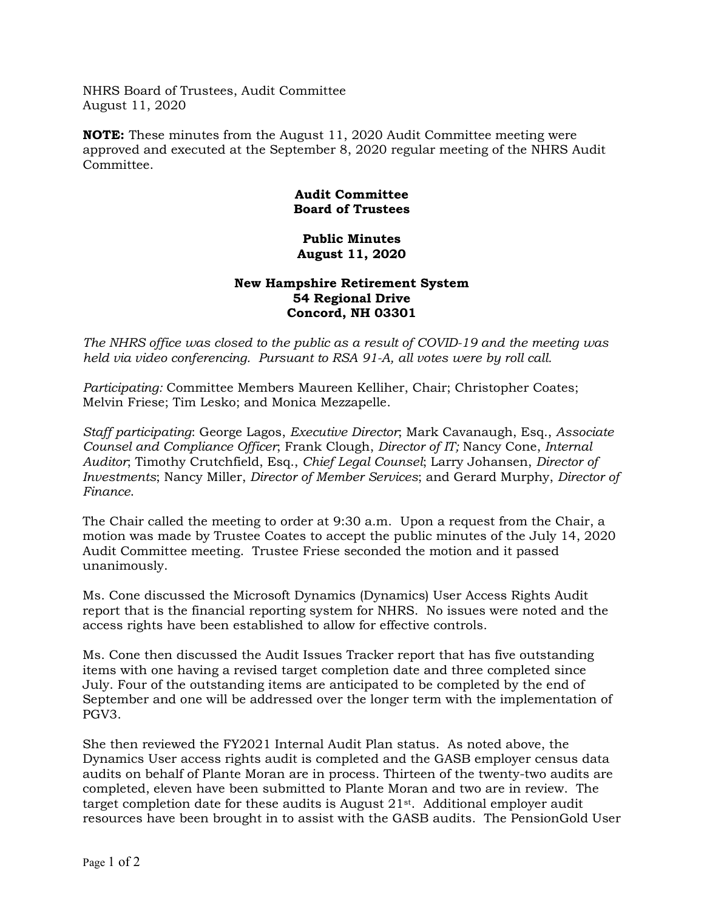NHRS Board of Trustees, Audit Committee August 11, 2020

**NOTE:** These minutes from the August 11, 2020 Audit Committee meeting were approved and executed at the September 8, 2020 regular meeting of the NHRS Audit Committee.

## **Audit Committee Board of Trustees**

## **Public Minutes August 11, 2020**

## **New Hampshire Retirement System 54 Regional Drive Concord, NH 03301**

*The NHRS office was closed to the public as a result of COVID-19 and the meeting was held via video conferencing. Pursuant to RSA 91-A, all votes were by roll call.*

*Participating:* Committee Members Maureen Kelliher, Chair; Christopher Coates; Melvin Friese; Tim Lesko; and Monica Mezzapelle.

*Staff participating*: George Lagos, *Executive Director*; Mark Cavanaugh, Esq., *Associate Counsel and Compliance Officer*; Frank Clough, *Director of IT;* Nancy Cone, *Internal Auditor*; Timothy Crutchfield, Esq., *Chief Legal Counsel*; Larry Johansen, *Director of Investments*; Nancy Miller, *Director of Member Services*; and Gerard Murphy, *Director of Finance*.

The Chair called the meeting to order at 9:30 a.m. Upon a request from the Chair, a motion was made by Trustee Coates to accept the public minutes of the July 14, 2020 Audit Committee meeting. Trustee Friese seconded the motion and it passed unanimously.

Ms. Cone discussed the Microsoft Dynamics (Dynamics) User Access Rights Audit report that is the financial reporting system for NHRS. No issues were noted and the access rights have been established to allow for effective controls.

Ms. Cone then discussed the Audit Issues Tracker report that has five outstanding items with one having a revised target completion date and three completed since July. Four of the outstanding items are anticipated to be completed by the end of September and one will be addressed over the longer term with the implementation of PGV3.

She then reviewed the FY2021 Internal Audit Plan status. As noted above, the Dynamics User access rights audit is completed and the GASB employer census data audits on behalf of Plante Moran are in process. Thirteen of the twenty-two audits are completed, eleven have been submitted to Plante Moran and two are in review. The target completion date for these audits is August 21st. Additional employer audit resources have been brought in to assist with the GASB audits. The PensionGold User